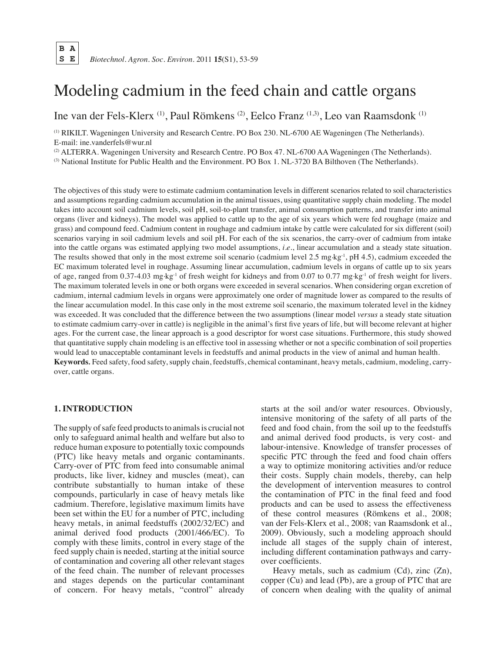# Modeling cadmium in the feed chain and cattle organs

Ine van der Fels-Klerx (1), Paul Römkens (2), Eelco Franz (1,3), Leo van Raamsdonk (1)

(1) RIKILT. Wageningen University and Research Centre. PO Box 230. NL-6700 AE Wageningen (The Netherlands). E-mail: ine.vanderfels@wur.nl

(2) ALTERRA. Wageningen University and Research Centre. PO Box 47. NL-6700 AA Wageningen (The Netherlands).

(3) National Institute for Public Health and the Environment. PO Box 1. NL-3720 BA Bilthoven (The Netherlands).

The objectives of this study were to estimate cadmium contamination levels in different scenarios related to soil characteristics and assumptions regarding cadmium accumulation in the animal tissues, using quantitative supply chain modeling. The model takes into account soil cadmium levels, soil pH, soil-to-plant transfer, animal consumption patterns, and transfer into animal organs (liver and kidneys). The model was applied to cattle up to the age of six years which were fed roughage (maize and grass) and compound feed. Cadmium content in roughage and cadmium intake by cattle were calculated for six different (soil) scenarios varying in soil cadmium levels and soil pH. For each of the six scenarios, the carry-over of cadmium from intake into the cattle organs was estimated applying two model assumptions, *i.e.*, linear accumulation and a steady state situation. The results showed that only in the most extreme soil scenario (cadmium level 2.5 mg $kg^{-1}$ , pH 4.5), cadmium exceeded the EC maximum tolerated level in roughage. Assuming linear accumulation, cadmium levels in organs of cattle up to six years of age, ranged from 0.37-4.03 mg·kg<sup>-1</sup> of fresh weight for kidneys and from 0.07 to 0.77 mg·kg<sup>-1</sup> of fresh weight for livers. The maximum tolerated levels in one or both organs were exceeded in several scenarios. When considering organ excretion of cadmium, internal cadmium levels in organs were approximately one order of magnitude lower as compared to the results of the linear accumulation model. In this case only in the most extreme soil scenario, the maximum tolerated level in the kidney was exceeded. It was concluded that the difference between the two assumptions (linear model *versus* a steady state situation to estimate cadmium carry-over in cattle) is negligible in the animal's first five years of life, but will become relevant at higher ages. For the current case, the linear approach is a good descriptor for worst case situations. Furthermore, this study showed that quantitative supply chain modeling is an effective tool in assessing whether or not a specific combination of soil properties would lead to unacceptable contaminant levels in feedstuffs and animal products in the view of animal and human health. **Keywords***.* Feed safety, food safety, supply chain, feedstuffs, chemical contaminant, heavy metals, cadmium, modeling, carryover, cattle organs.

# **1. Introduction**

The supply of safe feed products to animals is crucial not only to safeguard animal health and welfare but also to reduce human exposure to potentially toxic compounds (PTC) like heavy metals and organic contaminants. Carry-over of PTC from feed into consumable animal products, like liver, kidney and muscles (meat), can contribute substantially to human intake of these compounds, particularly in case of heavy metals like cadmium. Therefore, legislative maximum limits have been set within the EU for a number of PTC, including heavy metals, in animal feedstuffs (2002/32/EC) and animal derived food products (2001/466/EC). To comply with these limits, control in every stage of the feed supply chain is needed, starting at the initial source of contamination and covering all other relevant stages of the feed chain. The number of relevant processes and stages depends on the particular contaminant of concern. For heavy metals, "control" already starts at the soil and/or water resources. Obviously, intensive monitoring of the safety of all parts of the feed and food chain, from the soil up to the feedstuffs and animal derived food products, is very cost- and labour-intensive. Knowledge of transfer processes of specific PTC through the feed and food chain offers a way to optimize monitoring activities and/or reduce their costs. Supply chain models, thereby, can help the development of intervention measures to control the contamination of PTC in the final feed and food products and can be used to assess the effectiveness of these control measures (Römkens et al., 2008; van der Fels-Klerx et al., 2008; van Raamsdonk et al., 2009). Obviously, such a modeling approach should include all stages of the supply chain of interest, including different contamination pathways and carryover coefficients.

Heavy metals, such as cadmium (Cd), zinc (Zn), copper (Cu) and lead (Pb), are a group of PTC that are of concern when dealing with the quality of animal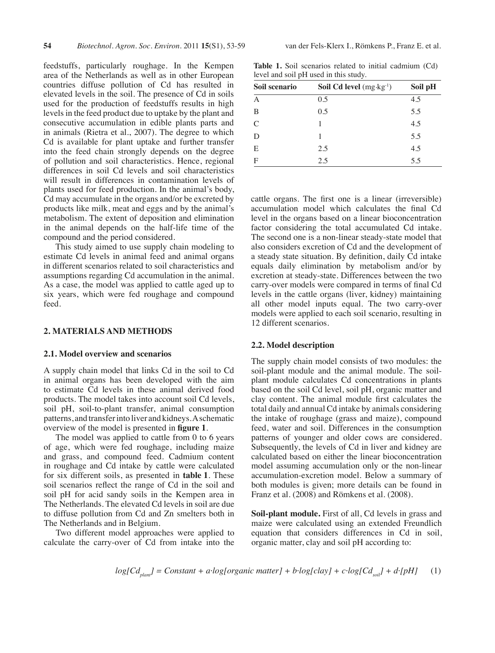feedstuffs, particularly roughage. In the Kempen area of the Netherlands as well as in other European countries diffuse pollution of Cd has resulted in elevated levels in the soil. The presence of Cd in soils used for the production of feedstuffs results in high levels in the feed product due to uptake by the plant and consecutive accumulation in edible plants parts and in animals (Rietra et al., 2007). The degree to which Cd is available for plant uptake and further transfer into the feed chain strongly depends on the degree of pollution and soil characteristics. Hence, regional differences in soil Cd levels and soil characteristics will result in differences in contamination levels of plants used for feed production. In the animal's body, Cd may accumulate in the organs and/or be excreted by products like milk, meat and eggs and by the animal's metabolism. The extent of deposition and elimination in the animal depends on the half-life time of the compound and the period considered.

This study aimed to use supply chain modeling to estimate Cd levels in animal feed and animal organs in different scenarios related to soil characteristics and assumptions regarding Cd accumulation in the animal. As a case, the model was applied to cattle aged up to six years, which were fed roughage and compound feed.

# **2. Materials and methods**

### **2.1. Model overview and scenarios**

A supply chain model that links Cd in the soil to Cd in animal organs has been developed with the aim to estimate Cd levels in these animal derived food products. The model takes into account soil Cd levels, soil pH, soil-to-plant transfer, animal consumption patterns, and transferinto liver and kidneys.Aschematic overview of the model is presented in **figure 1**.

The model was applied to cattle from 0 to 6 years of age, which were fed roughage, including maize and grass, and compound feed. Cadmium content in roughage and Cd intake by cattle were calculated for six different soils, as presented in **table 1**. These soil scenarios reflect the range of Cd in the soil and soil pH for acid sandy soils in the Kempen area in The Netherlands. The elevated Cd levels in soil are due to diffuse pollution from Cd and Zn smelters both in The Netherlands and in Belgium.

Two different model approaches were applied to calculate the carry-over of Cd from intake into the

**Table 1.** Soil scenarios related to initial cadmium (Cd) level and soil pH used in this study.

| Soil scenario  | <b>Soil Cd level</b> $(mg \cdot kg^{-1})$ | Soil pH |
|----------------|-------------------------------------------|---------|
| $\overline{A}$ | 0.5                                       | 4.5     |
| B              | 0.5                                       | 5.5     |
| $\mathcal{C}$  |                                           | 4.5     |
| D              |                                           | 5.5     |
| E              | 2.5                                       | 4.5     |
| $\mathbf{F}$   | 2.5                                       | 5.5     |

cattle organs. The first one is a linear (irreversible) accumulation model which calculates the final Cd level in the organs based on a linear bioconcentration factor considering the total accumulated Cd intake. The second one is a non-linear steady-state model that also considers excretion of Cd and the development of a steady state situation. By definition, daily Cd intake equals daily elimination by metabolism and/or by excretion at steady-state. Differences between the two carry-over models were compared in terms of final Cd levels in the cattle organs (liver, kidney) maintaining all other model inputs equal. The two carry-over models were applied to each soil scenario, resulting in 12 different scenarios.

#### **2.2. Model description**

The supply chain model consists of two modules: the soil-plant module and the animal module. The soilplant module calculates Cd concentrations in plants based on the soil Cd level, soil pH, organic matter and clay content. The animal module first calculates the total daily and annual Cd intake by animals considering the intake of roughage (grass and maize), compound feed, water and soil. Differences in the consumption patterns of younger and older cows are considered. Subsequently, the levels of Cd in liver and kidney are calculated based on either the linear bioconcentration model assuming accumulation only or the non-linear accumulation-excretion model. Below a summary of both modules is given; more details can be found in Franz et al. (2008) and Römkens et al. (2008).

**Soil-plant module.** First of all, Cd levels in grass and maize were calculated using an extended Freundlich equation that considers differences in Cd in soil, organic matter, clay and soil pH according to:

$$
log[Cd_{\text{plant}}] = Constant + a \cdot log[organic\ matter] + b \cdot log[clay] + c \cdot log[Cd_{\text{soil}}] + d \cdot [pH]
$$
 (1)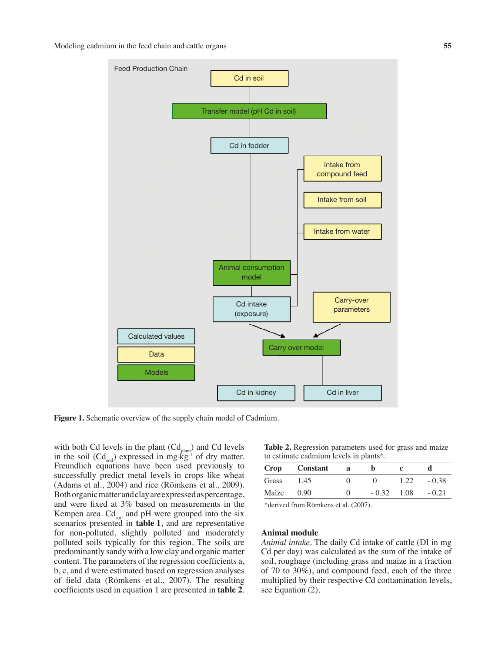

**Figure 1.** Schematic overview of the supply chain model of Cadmium.

with both Cd levels in the plant  $(Cd_{\text{plant}})$  and Cd levels in the soil  $(Cd_{\text{sol}})$  expressed in mg  $kg^{-1}$  of dry matter. Freundlich equations have been used previously to successfully predict metal levels in crops like wheat (Adams et al., 2004) and rice (Römkens et al., 2009). Both organic matter and clay are expressed as percentage, and were fixed at 3% based on measurements in the Kempen area.  $Cd_{\text{sol}}$  and pH were grouped into the six scenarios presented in **table 1**, and are representative for non-polluted, slightly polluted and moderately polluted soils typically for this region. The soils are predominantly sandy with a low clay and organic matter content. The parameters of the regression coefficients a, b, c, and d were estimated based on regression analyses of field data (Römkens et al., 2007). The resulting coefficients used in equation 1 are presented in **table 2**.

**Table 2.** Regression parameters used for grass and maize to estimate cadmium levels in plants\*.

|       | Crop Constant | <sub>a</sub> |                    |      |         |
|-------|---------------|--------------|--------------------|------|---------|
| Grass | 1.45          |              |                    | 1.22 | $-0.38$ |
| Maize | 0.90          |              | $-0.32 \quad 1.08$ |      | $-0.21$ |

\*derived from Römkens et al. (2007).

#### **Animal module**

*Animal intake.* The daily Cd intake of cattle (DI in mg Cd per day) was calculated as the sum of the intake of soil, roughage (including grass and maize in a fraction of 70 to 30%), and compound feed, each of the three multiplied by their respective Cd contamination levels, see Equation (2).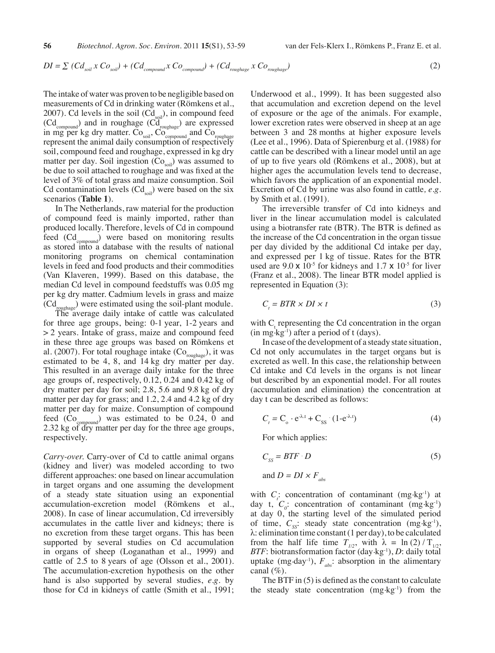$$
DI = \sum (Cd_{\text{soil}} \times Co_{\text{soil}}) + (Cd_{\text{compound}} \times Co_{\text{compound}}) + (Cd_{\text{roughage}} \times Co_{\text{roughage}})
$$
 (2)

The intake of water was proven to be negligible based on measurements of Cd in drinking water (Römkens et al., 2007). Cd levels in the soil  $(Cd_{\text{sol}})$ , in compound feed  $(\text{Cd}_{\text{compound}})$  and in roughage  $(\text{Cd}_{\text{roughage}})$  are expressed in mg per kg dry matter.  $Co<sub>soil</sub>$ ,  $Co<sub>compound</sub>$  and  $Co<sub>roughage</sub>$ represent the animal daily consumption of respectively soil, compound feed and roughage, expressed in kg dry matter per day. Soil ingestion  $(C_{o_{\text{coll}}} )$  was assumed to be due to soil attached to roughage and was fixed at the level of 3% of total grass and maize consumption. Soil Cd contamination levels  $(Cd_{\text{sol}})$  were based on the six scenarios (**Table 1**).

In The Netherlands, raw material for the production of compound feed is mainly imported, rather than produced locally. Therefore, levels of Cd in compound feed  $(Cd_{\text{compound}})$  were based on monitoring results as stored into a database with the results of national monitoring programs on chemical contamination levels in feed and food products and their commodities (Van Klaveren, 1999). Based on this database, the median Cd level in compound feedstuffs was 0.05 mg per kg dry matter. Cadmium levels in grass and maize  $(\text{Cd}_{\text{roughage}})$  were estimated using the soil-plant module.

The average daily intake of cattle was calculated for three age groups, being: 0-1 year, 1-2 years and > 2 years. Intake of grass, maize and compound feed in these three age groups was based on Römkens et al. (2007). For total roughage intake  $(C_{\text{roughage}})$ , it was estimated to be 4, 8, and 14 kg dry matter per day. This resulted in an average daily intake for the three age groups of, respectively, 0.12, 0.24 and 0.42 kg of dry matter per day for soil; 2.8, 5.6 and 9.8 kg of dry matter per day for grass; and 1.2, 2.4 and 4.2 kg of dry matter per day for maize. Consumption of compound feed  $(C_{o_{compound}})$  was estimated to be 0.24, 0 and 2.32 kg of dry matter per day for the three age groups, respectively.

*Carry-over.* Carry-over of Cd to cattle animal organs (kidney and liver) was modeled according to two different approaches: one based on linear accumulation in target organs and one assuming the development of a steady state situation using an exponential accumulation-excretion model (Römkens et al., 2008). In case of linear accumulation, Cd irreversibly accumulates in the cattle liver and kidneys; there is no excretion from these target organs. This has been supported by several studies on Cd accumulation in organs of sheep (Loganathan et al., 1999) and cattle of 2.5 to 8 years of age (Olsson et al., 2001). The accumulation-excretion hypothesis on the other hand is also supported by several studies, *e.g.* by those for Cd in kidneys of cattle (Smith et al., 1991; Underwood et al., 1999). It has been suggested also that accumulation and excretion depend on the level of exposure or the age of the animals. For example, lower excretion rates were observed in sheep at an age between 3 and 28 months at higher exposure levels (Lee et al., 1996). Data of Spierenburg et al. (1988) for cattle can be described with a linear model until an age of up to five years old (Römkens et al., 2008), but at higher ages the accumulation levels tend to decrease, which favors the application of an exponential model. Excretion of Cd by urine was also found in cattle*, e.g.* by Smith et al. (1991).

The irreversible transfer of Cd into kidneys and liver in the linear accumulation model is calculated using a biotransfer rate (BTR). The BTR is defined as the increase of the Cd concentration in the organ tissue per day divided by the additional Cd intake per day, and expressed per 1 kg of tissue. Rates for the BTR used are  $9.0 \times 10^{-5}$  for kidneys and  $1.7 \times 10^{-5}$  for liver (Franz et al., 2008). The linear BTR model applied is represented in Equation (3):

$$
C_t = BTR \times DI \times t \tag{3}
$$

with  $C<sub>i</sub>$  representing the Cd concentration in the organ  $(in \, mg \cdot kg^{-1})$  after a period of t (days).

In case of the development of a steady state situation, Cd not only accumulates in the target organs but is excreted as well. In this case, the relationship between Cd intake and Cd levels in the organs is not linear but described by an exponential model. For all routes (accumulation and elimination) the concentration at day t can be described as follows:

$$
C_t = C_o \cdot e^{-\lambda t} + C_{ss} \cdot (1 - e^{-\lambda t})
$$
 (4)

For which applies:

$$
C_{SS} = BTF \cdot D \tag{5}
$$

and 
$$
D = DI \times F_{abs}
$$

with  $C_i$ : concentration of contaminant (mg kg<sup>-1</sup>) at day t,  $C_0$ : concentration of contaminant  $(\text{mg} \cdot \text{kg}^{-1})$ at day 0, the starting level of the simulated period of time,  $C_{ss}$ : steady state concentration (mg·kg<sup>-1</sup>),  $\lambda$ : elimination time constant (1 per day), to be calculated from the half life time  $T_{1/2}$ , with  $\lambda = \ln(2)/T_{1/2}$ *BTF*: biotransformation factor (day.kg-1), *D*: daily total uptake (mg·day<sup>-1</sup>),  $F_{abs}$ : absorption in the alimentary canal  $(\%).$ 

The BTF in  $(5)$  is defined as the constant to calculate the steady state concentration  $(mg \text{ kg}^{-1})$  from the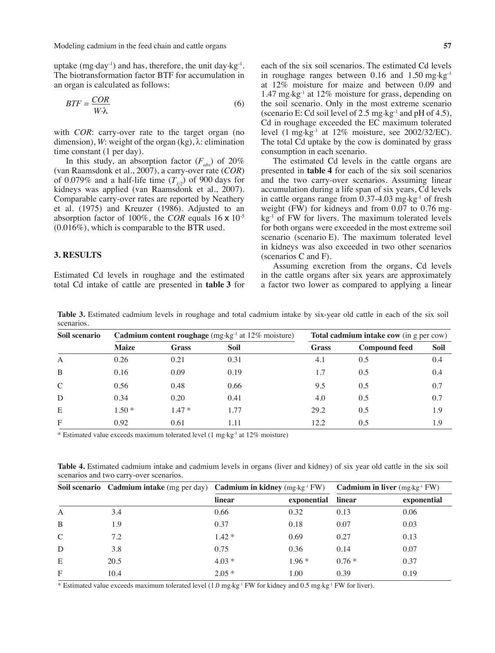Modeling cadmium in the feed chain and cattle organs **57** 

uptake  $(mg \cdot day^{-1})$  and has, therefore, the unit day  $kg^{-1}$ . The biotransformation factor BTF for accumulation in an organ is calculated as follows:

$$
BTF = \frac{COR}{W \cdot \lambda} \tag{6}
$$

with *COR*: carry-over rate to the target organ (no dimension), *W*: weight of the organ (kg), λ: elimination time constant (1 per day).

In this study, an absorption factor  $(F_{abc})$  of 20% (van Raamsdonk et al., 2007), a carry-over rate (*COR*) of 0.079% and a half-life time  $(T_{1/2})$  of 900 days for kidneys was applied (van Raamsdonk et al., 2007). Comparable carry-over rates are reported by Neathery et al. (1975) and Kreuzer (1986). Adjusted to an absorption factor of 100%, the *COR* equals 16 x 10-5 (0.016%), which is comparable to the BTR used.

# **3. Results**

Estimated Cd levels in roughage and the estimated total Cd intake of cattle are presented in **table 3** for each of the six soil scenarios. The estimated Cd levels in roughage ranges between  $0.16$  and  $1.50$  mg $\text{kg}^{-1}$ at 12% moisture for maize and between 0.09 and 1.47 mg.kg-1 at 12% moisture for grass, depending on the soil scenario. Only in the most extreme scenario (scenario E: Cd soil level of 2.5 mg $\text{kg}$ <sup>1</sup> and pH of 4.5), Cd in roughage exceeded the EC maximum tolerated level  $(1 \text{ mg} \cdot \text{kg}^{-1})$  at  $12\%$  moisture, see  $2002/32/EC$ ). The total Cd uptake by the cow is dominated by grass consumption in each scenario.

The estimated Cd levels in the cattle organs are presented in **table 4** for each of the six soil scenarios and the two carry-over scenarios. Assuming linear accumulation during a life span of six years, Cd levels in cattle organs range from  $0.37-4.03$  mg $\text{kg}^{-1}$  of fresh weight (FW) for kidneys and from 0.07 to 0.76 mg. kg-1 of FW for livers. The maximum tolerated levels for both organs were exceeded in the most extreme soil scenario (scenario E). The maximum tolerated level in kidneys was also exceeded in two other scenarios (scenarios C and F).

Assuming excretion from the organs, Cd levels in the cattle organs after six years are approximately a factor two lower as compared to applying a linear

**Table 3.** Estimated cadmium levels in roughage and total cadmium intake by six-year old cattle in each of the six soil scenarios.

| Soil scenario | Cadmium content roughage (mg kg <sup>-1</sup> at 12% moisture) |              |      | Total cadmium intake cow (in g per cow) |                      |             |
|---------------|----------------------------------------------------------------|--------------|------|-----------------------------------------|----------------------|-------------|
|               | <b>Maize</b>                                                   | <b>Grass</b> | Soil | <b>Grass</b>                            | <b>Compound feed</b> | <b>Soil</b> |
| A             | 0.26                                                           | 0.21         | 0.31 | 4.1                                     | 0.5                  | 0.4         |
| B             | 0.16                                                           | 0.09         | 0.19 | 1.7                                     | 0.5                  | 0.4         |
| $\mathcal{C}$ | 0.56                                                           | 0.48         | 0.66 | 9.5                                     | 0.5                  | 0.7         |
| D             | 0.34                                                           | 0.20         | 0.41 | 4.0                                     | 0.5                  | 0.7         |
| E             | $1.50*$                                                        | $1.47*$      | 1.77 | 29.2                                    | 0.5                  | 1.9         |
| $\mathbf{F}$  | 0.92                                                           | 0.61         | 1.11 | 12.2                                    | 0.5                  | 1.9         |

\* Estimated value exceeds maximum tolerated level (1 mg.kg-1 at 12% moisture)

**Table 4.** Estimated cadmium intake and cadmium levels in organs (liver and kidney) of six year old cattle in the six soil scenarios and two carry-over scenarios.

|                |      | Soil scenario Cadmium intake (mg per day) Cadmium in kidney (mg kg <sup>-1</sup> FW) Cadmium in liver (mg kg <sup>-1</sup> FW) |             |         |             |
|----------------|------|--------------------------------------------------------------------------------------------------------------------------------|-------------|---------|-------------|
|                |      | linear                                                                                                                         | exponential | linear  | exponential |
| $\overline{A}$ | 3.4  | 0.66                                                                                                                           | 0.32        | 0.13    | 0.06        |
| B              | 1.9  | 0.37                                                                                                                           | 0.18        | 0.07    | 0.03        |
| $\mathcal{C}$  | 7.2  | $1.42*$                                                                                                                        | 0.69        | 0.27    | 0.13        |
| D              | 3.8  | 0.75                                                                                                                           | 0.36        | 0.14    | 0.07        |
| E              | 20.5 | $4.03*$                                                                                                                        | $1.96*$     | $0.76*$ | 0.37        |
| $\mathbf{F}$   | 10.4 | $2.05*$                                                                                                                        | 1.00        | 0.39    | 0.19        |

\* Estimated value exceeds maximum tolerated level (1.0 mg.kg-1 FW for kidney and 0.5 mg.kg-1 FW for liver).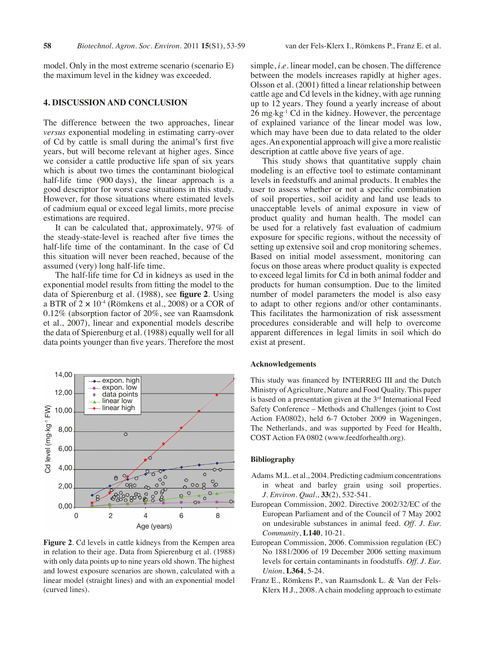model. Only in the most extreme scenario (scenario E) the maximum level in the kidney was exceeded.

# **4. Discussion and conclusion**

The difference between the two approaches, linear *versus* exponential modeling in estimating carry-over of Cd by cattle is small during the animal's first five years, but will become relevant at higher ages. Since we consider a cattle productive life span of six years which is about two times the contaminant biological half-life time (900 days), the linear approach is a good descriptor for worst case situations in this study. However, for those situations where estimated levels of cadmium equal or exceed legal limits, more precise estimations are required.

It can be calculated that, approximately, 97% of the steady-state-level is reached after five times the half-life time of the contaminant. In the case of Cd this situation will never been reached, because of the assumed (very) long half-life time.

The half-life time for Cd in kidneys as used in the exponential model results from fitting the model to the data of Spierenburg et al. (1988), see **figure 2**. Using a BTR of  $2 \times 10^{-4}$  (Römkens et al., 2008) or a COR of 0.12% (absorption factor of 20%, see van Raamsdonk et al., 2007), linear and exponential models describe the data of Spierenburg et al. (1988) equally well for all data points younger than five years. Therefore the most



**Figure 2**. Cd levels in cattle kidneys from the Kempen area in relation to their age. Data from Spierenburg et al. (1988) with only data points up to nine years old shown. The highest and lowest exposure scenarios are shown, calculated with a linear model (straight lines) and with an exponential model (curved lines).

which may have been due to data related to the older ages.An exponential approach will give a more realistic

description at cattle above five years of age. This study shows that quantitative supply chain modeling is an effective tool to estimate contaminant levels in feedstuffs and animal products. It enables the user to assess whether or not a specific combination of soil properties, soil acidity and land use leads to unacceptable levels of animal exposure in view of product quality and human health. The model can be used for a relatively fast evaluation of cadmium exposure for specific regions, without the necessity of setting up extensive soil and crop monitoring schemes. Based on initial model assessment, monitoring can focus on those areas where product quality is expected to exceed legal limits for Cd in both animal fodder and products for human consumption. Due to the limited number of model parameters the model is also easy to adapt to other regions and/or other contaminants. This facilitates the harmonization of risk assessment procedures considerable and will help to overcome apparent differences in legal limits in soil which do exist at present.

#### **Acknowledgements**

This study was financed by INTERREG III and the Dutch Ministry of Agriculture, Nature and Food Quality. This paper is based on a presentation given at the  $3<sup>rd</sup>$  International Feed Safety Conference – Methods and Challenges (joint to Cost Action FA0802), held 6-7 October 2009 in Wageningen, The Netherlands, and was supported by Feed for Health, COST Action FA 0802 (www.feedforhealth.org).

## **Bibliography**

- Adams M.L. et al., 2004. Predicting cadmium concentrations in wheat and barley grain using soil properties. *J. Environ. Qual*., **33**(2), 532-541.
- European Commission, 2002. Directive 2002/32/EC of the European Parliament and of the Council of 7 May 2002 on undesirable substances in animal feed. *Off. J. Eur. Community*, **L140**, 10-21.
- European Commission, 2006. Commission regulation (EC) No 1881/2006 of 19 December 2006 setting maximum levels for certain contaminants in foodstuffs. *Off. J. Eur. Union*, **L364**, 5-24.
- Franz E., Römkens P., van Raamsdonk L. & Van der Fels-Klerx H.J., 2008. A chain modeling approach to estimate